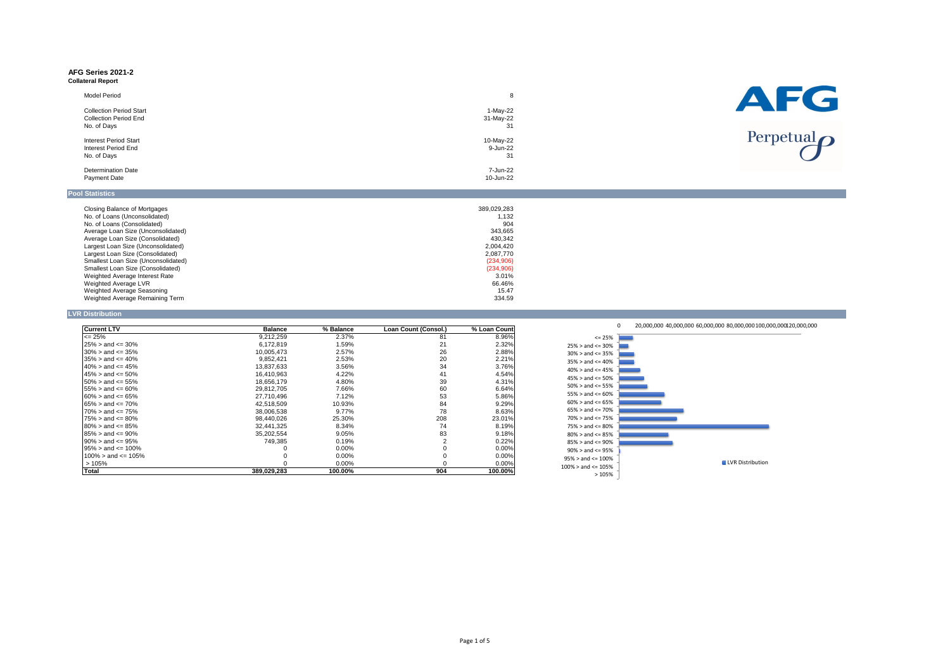#### **AFG Series 2021-2 Collateral Report**

| <b>Model Period</b>            | 8         |
|--------------------------------|-----------|
| <b>Collection Period Start</b> | 1-May-22  |
| <b>Collection Period End</b>   | 31-May-22 |
| No. of Days                    | 31        |
| <b>Interest Period Start</b>   | 10-May-22 |
| <b>Interest Period End</b>     | 9-Jun-22  |
| No. of Days                    | 31        |
| <b>Determination Date</b>      | 7-Jun-22  |
| <b>Payment Date</b>            | 10-Jun-22 |

| <b>Closing Balance of Mortgages</b>      | 389,029,283 |
|------------------------------------------|-------------|
| No. of Loans (Unconsolidated)            | 1.132       |
| No. of Loans (Consolidated)              | 904         |
| Average Loan Size (Unconsolidated)       | 343,665     |
| Average Loan Size (Consolidated)         | 430.342     |
| Largest Loan Size (Unconsolidated)       | 2,004,420   |
| Largest Loan Size (Consolidated)         | 2,087,770   |
| Smallest Loan Size (Unconsolidated)      | (234, 906)  |
| <b>Smallest Loan Size (Consolidated)</b> | (234, 906)  |
| Weighted Average Interest Rate           | 3.01%       |
| Weighted Average LVR                     | 66.46%      |
| Weighted Average Seasoning               | 15.47       |
| Weighted Average Remaining Term          | 334.59      |

### **LVR Distribution**

| <b>Current LTV</b>           | <b>Balance</b> | % Balance | Loan Count (Consol.) | % Loan Count |
|------------------------------|----------------|-----------|----------------------|--------------|
| $\leq$ 25%                   | 9,212,259      | 2.37%     | 81                   | 8.96%        |
| $125\% >$ and <= 30%         | 6,172,819      | 1.59%     | 21                   | 2.32%        |
| $130\% >$ and <= 35%         | 10,005,473     | 2.57%     | 26                   | 2.88%        |
| $135\% > \text{and} <= 40\%$ | 9,852,421      | 2.53%     | 20                   | 2.21%        |
| $40\%$ > and <= 45%          | 13,837,633     | 3.56%     | 34                   | 3.76%        |
| $145\% >$ and $\leq 50\%$    | 16,410,963     | 4.22%     | 41                   | 4.54%        |
| $150\% > \text{and} <= 55\%$ | 18,656,179     | 4.80%     | 39                   | 4.31%        |
| $155\% >$ and $\leq 60\%$    | 29,812,705     | 7.66%     | 60                   | 6.64%        |
| $160\% > \text{and} <= 65\%$ | 27,710,496     | 7.12%     | 53                   | 5.86%        |
| $165\% > \text{and} <= 70\%$ | 42,518,509     | 10.93%    | 84                   | 9.29%        |
| $170\% > \text{and} < 75\%$  | 38,006,538     | 9.77%     | 78                   | 8.63%        |
| $175\% >$ and $\leq$ 80%     | 98,440,026     | 25.30%    | 208                  | 23.01%       |
| $180\% > \text{and} <= 85\%$ | 32,441,325     | 8.34%     | 74                   | 8.19%        |
| l85% > and <= 90%            | 35,202,554     | 9.05%     | 83                   | 9.18%        |
| l90% > and <= 95%            | 749.385        | 0.19%     | 2                    | 0.22%        |
| l95% > and <= 100%           |                | $0.00\%$  | 0                    | $0.00\%$     |
| $100\%$ > and <= 105%        |                | $0.00\%$  | 0                    | 0.00%        |
| >105%                        |                | 0.00%     |                      | 0.00%        |
| <b>Total</b>                 | 389,029,283    | 100.00%   | 904                  | 100.00%      |



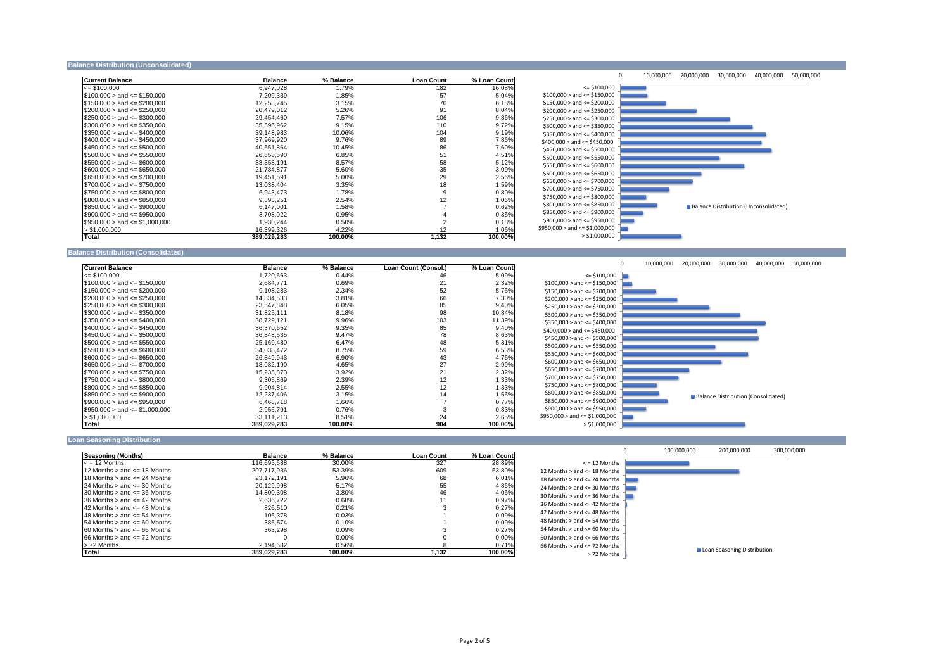#### **Balance Distribution (Unconsolidated)**

| <b>Current Balance</b>                                                                                          | <b>Balance</b> | % Balance | <b>Loan Count</b> | % Loan Count |          |
|-----------------------------------------------------------------------------------------------------------------|----------------|-----------|-------------------|--------------|----------|
| $\leq$ \$100,000                                                                                                | 6,947,028      | 1.79%     | 182               | 16.08%       |          |
| $\$100,000>$ and $\leq$ \$150,000                                                                               | 7,209,339      | 1.85%     | 57                | 5.04%        | \$100,   |
| $\$150,000>$ and $\leq$ \$200,000                                                                               | 12,258,745     | 3.15%     | 70                | 6.18%        | \$150,   |
| $$200,000 >$ and $\leq$ \$250,000                                                                               | 20,479,012     | 5.26%     | 91                | 8.04%        | \$200,   |
| $\$250,000>$ and $\leq$ \$300,000                                                                               | 29,454,460     | 7.57%     | 106               | 9.36%        | \$250,   |
| $$300,000 >$ and $\leq$ \$350,000                                                                               | 35,596,962     | 9.15%     | 110               | 9.72%        | \$300,   |
| $\$350,000>$ and <= $\$400,000$                                                                                 | 39,148,983     | 10.06%    | 104               | 9.19%        | \$350,   |
| $\$400,000>$ and $\leq$ \$450,000                                                                               | 37,969,920     | 9.76%     | 89                | 7.86%        | \$400,0  |
| $$450,000 >$ and $\leq$ \$500,000                                                                               | 40,651,864     | 10.45%    | 86                | 7.60%        | \$450,   |
| $\$500,000>$ and $\leq$ \$550,000                                                                               | 26,658,590     | 6.85%     | 51                | 4.51%        | \$500,   |
| $\$550,000>$ and $\leq$ \$600,000                                                                               | 33,358,191     | 8.57%     | 58                | 5.12%        | \$550,   |
| $\$600,000>$ and $\leq$ \$650,000                                                                               | 21,784,877     | 5.60%     | 35                | 3.09%        | \$600,   |
| $\$650,000>$ and $\leq$ \$700,000                                                                               | 19,451,591     | 5.00%     | 29                | 2.56%        | \$650,   |
| $\$700,000>$ and $\leq$ \$750,000                                                                               | 13,038,404     | 3.35%     | 18                | 1.59%        | \$700,   |
| $\$750,000>$ and $\leq$ \$800,000                                                                               | 6,943,473      | 1.78%     | 9                 | 0.80%        |          |
| $$800,000 >$ and $\leq$ \$850,000                                                                               | 9,893,251      | 2.54%     | 12                | 1.06%        | \$750,   |
| $\$850,000>$ and $\leq$ \$900,000                                                                               | 6,147,001      | 1.58%     |                   | 0.62%        | \$800,   |
| $\textcolor{blue}{\textbf{[$}}\$900,000 > \textcolor{red}{\textbf{and}} \textcolor{blue}{\textbf{<}=}\$950,000$ | 3,708,022      | 0.95%     |                   | 0.35%        | \$850,   |
| $\$950,000>$ and <= \$1,000,000                                                                                 | 1,930,244      | 0.50%     |                   | 0.18%        | \$900,   |
| $>$ \$1,000,000                                                                                                 | 16,399,326     | 4.22%     | 12                | 1.06%        | \$950,00 |
| Total                                                                                                           | 389,029,283    | 100.00%   | 1,132             | 100.00%      |          |

### **Balance Distribution (Consolidated)**

| <b>Current Balance</b>              | <b>Balance</b> | % Balance | Loan Count (Consol.) | % Loan Count |         |
|-------------------------------------|----------------|-----------|----------------------|--------------|---------|
| $\le$ \$100,000                     | 1,720,663      | 0.44%     | 46                   | 5.09%        |         |
| $$100,000 >$ and $\leq$ \$150,000   | 2,684,771      | 0.69%     | 21                   | 2.32%        | \$100,  |
| $\$150,000>$ and <= \$200,000       | 9,108,283      | 2.34%     | 52                   | 5.75%        | \$150,  |
| $$200,000 >$ and $\leq$ \$250,000   | 14,834,533     | 3.81%     | 66                   | 7.30%        | \$200,  |
| $\$250,000>$ and $\leq$ \$300,000   | 23,547,848     | 6.05%     | 85                   | 9.40%        | \$250,  |
| $\$300,000 >$ and $\leq$ \$350,000  | 31,825,111     | 8.18%     | 98                   | 10.84%       | \$300,  |
| $$350,000 >$ and $\leq$ \$400,000   | 38,729,121     | 9.96%     | 103                  | 11.39%       | \$350,  |
| $$400,000 >$ and $\leq$ \$450,000   | 36,370,652     | 9.35%     | 85                   | 9.40%        | \$400,0 |
| $$450,000 >$ and $\leq$ \$500,000   | 36,848,535     | 9.47%     | 78                   | 8.63%        | \$450,  |
| $$500,000 >$ and $\leq$ \$550,000   | 25,169,480     | 6.47%     | 48                   | 5.31%        | \$500,  |
| $\$550,000 >$ and $\leq$ \$600,000  | 34,038,472     | 8.75%     | 59                   | 6.53%        | \$550,  |
| $\$600,000 >$ and $\leq$ \$650,000  | 26,849,943     | 6.90%     | 43                   | 4.76%        |         |
| $\$650,000>$ and <= \$700,000       | 18,082,190     | 4.65%     | 27                   | 2.99%        | \$600,  |
| $\$700,000 >$ and $\leq$ \$750,000  | 15,235,873     | 3.92%     | 21                   | 2.32%        | \$650,  |
| $\$750,000 >$ and $\leq$ \$800,000  | 9,305,869      | 2.39%     | 12                   | 1.33%        | \$700,  |
| $$800,000 >$ and $\leq$ \$850,000   | 9,904,814      | 2.55%     | 12                   | 1.33%        | \$750,  |
| $$850,000 >$ and $\leq$ \$900,000   | 12,237,406     | 3.15%     | 14                   | 1.55%        | \$800,  |
| $\$900,000 >$ and $\leq$ \$950,000  | 6,468,718      | 1.66%     |                      | 0.77%        | \$850,  |
| $\$950,000>$ and $\leq$ \$1,000,000 | 2,955,791      | 0.76%     | 3                    | 0.33%        | \$900,  |
| > \$1,000,000                       | 33,111,213     | 8.51%     | 24                   | 2.65%        | \$950,0 |
| Total                               | 389,029,283    | 100.00%   | 904                  | 100.00%      |         |

#### **Loan Seasoning Distribution**

| <b>Seasoning (Months)</b>             | <b>Balance</b> | % Balance | <b>Loan Count</b> | % Loan Count |        |
|---------------------------------------|----------------|-----------|-------------------|--------------|--------|
| $\le$ = 12 Months                     | 116.695.688    | 30.00%    | 327               | 28.89%       |        |
| 12 Months $>$ and $\leq$ 18 Months    | 207.717.936    | 53.39%    | 609               | 53.80%       | 12 Mon |
| $118$ Months $>$ and $\leq$ 24 Months | 23.172.191     | 5.96%     | 68                | 6.01%        | 18 Mon |
| $124$ Months $>$ and $\leq$ 30 Months | 20.129.998     | 5.17%     | 55                | 4.86%        | 24 Mon |
| $130$ Months $>$ and $\leq$ 36 Months | 14.800.308     | 3.80%     | 46                | 4.06%        | 30 Mon |
| $136$ Months $>$ and $\leq$ 42 Months | 2.636.722      | $0.68\%$  |                   | 0.97%        |        |
| $142$ Months $>$ and $\leq$ 48 Months | 826.510        | 0.21%     |                   | 0.27%        | 36 Mon |
| $148$ Months $>$ and $\leq$ 54 Months | 106,378        | $0.03\%$  |                   | 0.09%        | 42 Mon |
| $154$ Months $>$ and $\leq$ 60 Months | 385.574        | $0.10\%$  |                   | 0.09%        | 48 Mon |
| $160$ Months $>$ and $\leq$ 66 Months | 363,298        | 0.09%     |                   | 0.27%        | 54 Mon |
| $166$ Months $>$ and $\leq$ 72 Months |                | $0.00\%$  |                   | $0.00\%$     | 60 Mon |
| > 72 Months                           | 2,194,682      | 0.56%     |                   | 0.71%        | 66 Mon |
| Total                                 | 389.029.283    | 100.00%   | 1,132             | 100.00%      |        |





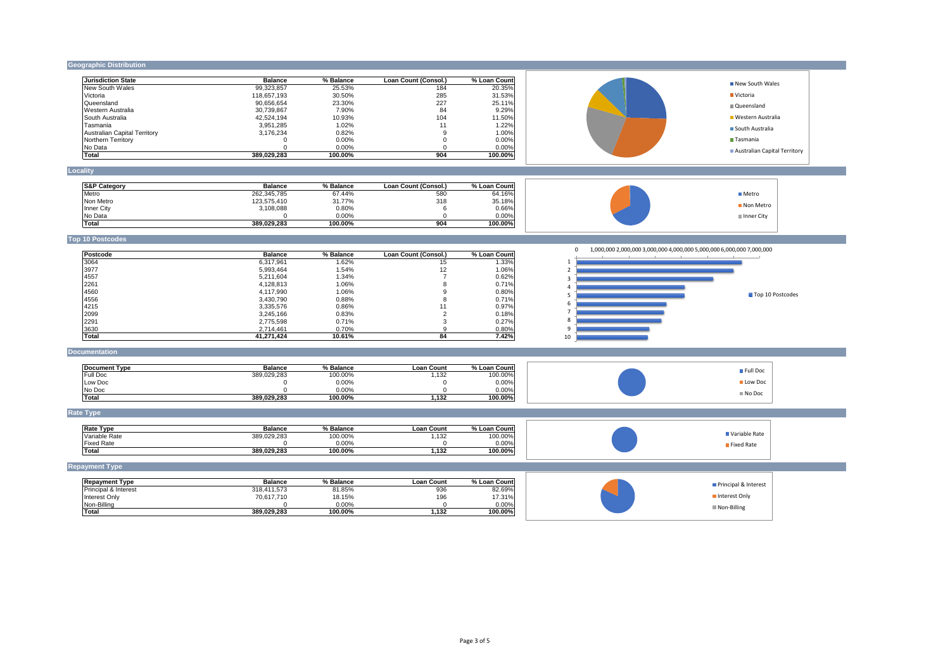## **Geographic Distribution**

| <b>Jurisdiction State</b>    | <b>Balance</b> | % Balance | Loan Count (Consol.) | % Loan Count |
|------------------------------|----------------|-----------|----------------------|--------------|
| New South Wales              | 99,323,857     | 25.53%    | 184                  | 20.35%       |
| Victoria                     | 118.657.193    | 30.50%    | 285                  | 31.53%       |
| <b>IQueensland</b>           | 90,656,654     | 23.30%    | 227                  | 25.11%       |
| IWestern Australia           | 30.739.867     | 7.90%     | 84                   | 9.29%        |
| <b>ISouth Australia</b>      | 42,524,194     | 10.93%    | 104                  | 11.50%       |
| Tasmania                     | 3.951.285      | 1.02%     | 11                   | 1.22%        |
| Australian Capital Territory | 3.176.234      | 0.82%     | 9                    | $1.00\%$     |
| Northern Territory           |                | $0.00\%$  |                      | $0.00\%$     |
| <b>I</b> No Data             |                | $0.00\%$  |                      | $0.00\%$     |
| <b>Total</b>                 | 389,029,283    | 100.00%   | 904                  | 100.00%      |

## **Locality**

| <b>S&amp;P Category</b> | <b>Balance</b> | % Balance | Loan Count (Consol.) | % Loan Count |
|-------------------------|----------------|-----------|----------------------|--------------|
| <b>Metro</b>            | 262,345,785    | 67.44%    | 580                  | 64.16%       |
| Non Metro               | 123,575,410    | 31.77%    | 318                  | 35.18%       |
| Inner City              | 3,108,088      | 0.80%     |                      | $0.66\%$     |
| No Data                 |                | $0.00\%$  |                      | $0.00\%$     |
| Total                   | 389,029,283    | 100.00%   | 904                  | 100.00%      |

## **Top 10 Postcodes**

| <b>Postcode</b> | <b>Balance</b> | % Balance | Loan Count (Consol.) | % Loan Count |
|-----------------|----------------|-----------|----------------------|--------------|
| 3064            | 6,317,961      | .62%      | 15                   | 1.33%        |
| 3977            | 5,993,464      | .54%      | 12                   | 1.06%        |
| 4557            | 5,211,604      | l.34%     |                      | 0.62%        |
| 2261            | 4,128,813      | 1.06%     | 8                    | 0.71%        |
| 4560            | 4,117,990      | 1.06%     | 9                    | 0.80%        |
| 4556            | 3,430,790      | 0.88%     | 8                    | 0.71%        |
| 4215            | 3,335,576      | 0.86%     | 11                   | 0.97%        |
| 2099            | 3,245,166      | 0.83%     | ⌒                    | 0.18%        |
| 2291            | 2,775,598      | 0.71%     |                      | 0.27%        |
| 3630            | 2,714,461      | 0.70%     | 9                    | 0.80%        |
| <b>Total</b>    | 41,271,424     | 10.61%    | 84                   | 7.42%        |

### **Documentation**

| lDocument Tvpe  | <b>Balance</b> | % Balance | <b>Loan Count</b> | % Loan Count |
|-----------------|----------------|-----------|-------------------|--------------|
| <b>Full Doc</b> | 389,029,283    | 100.00%   | ィっぺ<br>. ه ب      | 100.00%      |
| Low Doc         |                | 0.00%     |                   | $0.00\%$     |
| No Doc          |                | 0.00%     |                   | $0.00\%$     |
| Total           | 389,029,283    | 100.00%   | 1,132             | 100.00%      |

## **Rate Type**

| <b>Rate Type</b>   | <b>Balance</b> | % Balance | Loan<br><b>Count</b> | %.<br>. ∟oan <i>Γ</i><br><b>Count</b> |
|--------------------|----------------|-----------|----------------------|---------------------------------------|
| Variable Rate      | 389,029,283    | 100.00%   | $\sqrt{2}$<br>∣∪∠    | 100.00%                               |
| <b>IFixed Rate</b> |                | 0.00%     |                      | $0.00\%$                              |
| lTotal             | 389,029,283    | 100.00%   | .132                 | 100.00%                               |

# **Repayment Type**

| <b>Repayment Type</b>           | <b>Balance</b> | % Balance | Loan Count | % Loan Count |
|---------------------------------|----------------|-----------|------------|--------------|
| <b>Principal &amp; Interest</b> | 318,411,573    | 81.85%    | 936        | 82.69%       |
| Interest Only                   | 70,617,710     | 18.15%    | 196        | 17.31%       |
| Non-Billing                     |                | $0.00\%$  |            | $0.00\%$     |
| 'Total                          | 389.029.283    | 100.00%   | .132       | 100.00%।     |

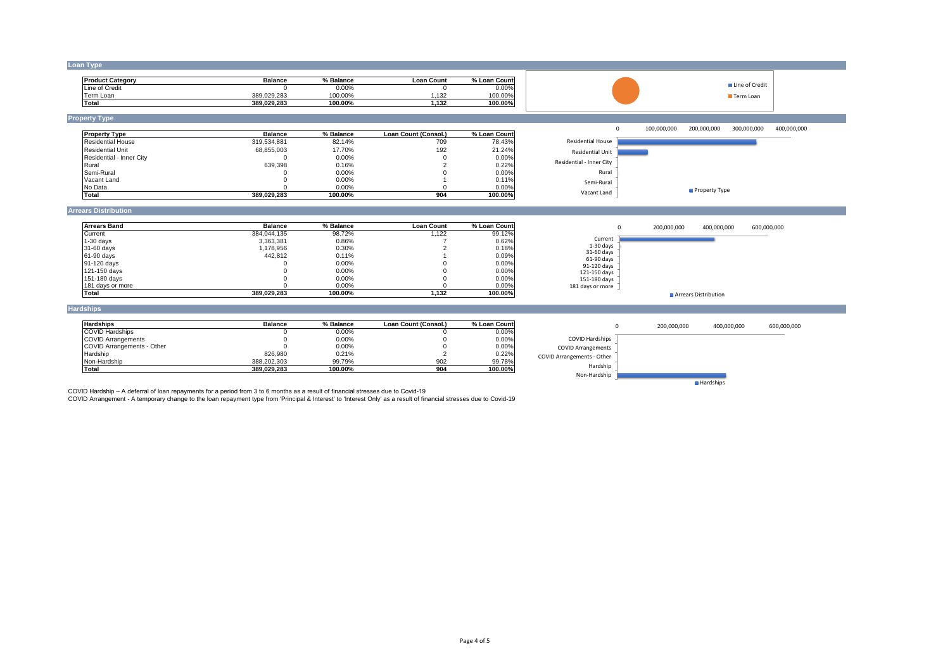**Loan Type**

| <b>Product Category</b> | <b>Balance</b> | % Balance | Loan Count | % Loan<br><b>Count</b> |
|-------------------------|----------------|-----------|------------|------------------------|
| Line of Credit          |                | $0.00\%$  |            | $0.00\%$               |
| Геrm Loan               | 389,029,283    | 100.00%   | 132        | 100.00%                |
| Total                   | 389,029,283    | 100.00%   | .132       | 100.00%                |

**Property Type**

| <b>Property Type</b>      | <b>Balance</b> | % Balance | <b>Loan Count (Consol.)</b> | % Loan Count |
|---------------------------|----------------|-----------|-----------------------------|--------------|
| <b>IResidential House</b> | 319,534,881    | 82.14%    | 709                         | $78.43\%$    |
| Residential Unit          | 68,855,003     | 17.70%    | 192                         | 21.24%       |
| Residential - Inner City  |                | $0.00\%$  |                             | 0.00%        |
| Rural                     | 639,398        | 0.16%     |                             | 0.22%        |
| ISemi-Rural               |                | $0.00\%$  |                             | 0.00%        |
| <b>Vacant Land</b>        |                | $0.00\%$  |                             | 0.11%        |
| No Data                   |                | $0.00\%$  |                             | $0.00\%$     |
| <b>Total</b>              | 389,029,283    | 100.00%   | 904                         | 100.00%      |

### **Arrears Distribution**

| <b>Arrears Band</b> | <b>Balance</b> | % Balance | Loan Count | % Loan Countl |
|---------------------|----------------|-----------|------------|---------------|
| Current             | 384,044,135    | 98.72%    | 1,122      | 99.12%        |
| $1-30$ days         | 3,363,381      | 0.86%     |            | 0.62%         |
| 31-60 days          | 1,178,956      | 0.30%     |            | 0.18%         |
| 61-90 days          | 442.812        | 0.11%     |            | $0.09\%$      |
| 91-120 days         |                | $0.00\%$  |            | $0.00\%$      |
| 121-150 days        |                | $0.00\%$  |            | $0.00\%$      |
| 151-180 days        |                | $0.00\%$  |            | $0.00\%$      |
| 181 days or more    |                | $0.00\%$  |            | $0.00\%$      |
| <b>Total</b>        | 389,029,283    | 100.00%   | 1,132      | 100.00%       |

### **Hardships**

| <b>Hardships</b>                  | <b>Balance</b> | % Balance | Loan Count (Consol.) | % Loan Countl |
|-----------------------------------|----------------|-----------|----------------------|---------------|
| <b>COVID Hardships</b>            |                | $0.00\%$  |                      | $0.00\%$      |
| <b>COVID Arrangements</b>         |                | 0.00%     |                      | $0.00\%$      |
| <b>COVID Arrangements - Other</b> |                | 0.00%     |                      | $0.00\%$      |
| Hardship                          | 826,980        | 0.21%     |                      | 0.22%         |
| Non-Hardship                      | 388,202,303    | 99.79%    | 902                  | 99.78%        |
| <b>Total</b>                      | 389,029,283    | 100.00%   | 904                  | 100.00%       |

COVID Hardship – A deferral of loan repayments for a period from 3 to 6 months as a result of financial stresses due to Covid-19

COVID Arrangement - A temporary change to the loan repayment type from 'Principal & Interest' to 'Interest Only' as a result of financial stresses due to Covid-19